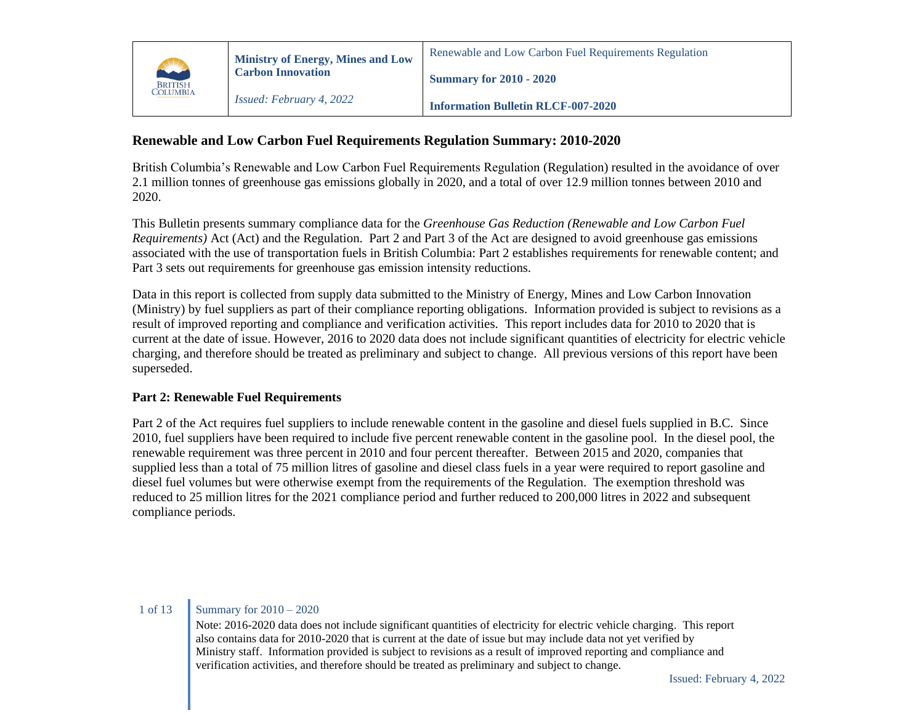

# **Renewable and Low Carbon Fuel Requirements Regulation Summary: 2010-2020**

British Columbia's Renewable and Low Carbon Fuel Requirements Regulation (Regulation) resulted in the avoidance of over 2.1 million tonnes of greenhouse gas emissions globally in 2020, and a total of over 12.9 million tonnes between 2010 and 2020.

This Bulletin presents summary compliance data for the *Greenhouse Gas Reduction (Renewable and Low Carbon Fuel Requirements)* Act (Act) and the Regulation. Part 2 and Part 3 of the Act are designed to avoid greenhouse gas emissions associated with the use of transportation fuels in British Columbia: Part 2 establishes requirements for renewable content; and Part 3 sets out requirements for greenhouse gas emission intensity reductions.

Data in this report is collected from supply data submitted to the Ministry of Energy, Mines and Low Carbon Innovation (Ministry) by fuel suppliers as part of their compliance reporting obligations. Information provided is subject to revisions as a result of improved reporting and compliance and verification activities. This report includes data for 2010 to 2020 that is current at the date of issue. However, 2016 to 2020 data does not include significant quantities of electricity for electric vehicle charging, and therefore should be treated as preliminary and subject to change. All previous versions of this report have been superseded.

# **Part 2: Renewable Fuel Requirements**

Part 2 of the Act requires fuel suppliers to include renewable content in the gasoline and diesel fuels supplied in B.C. Since 2010, fuel suppliers have been required to include five percent renewable content in the gasoline pool. In the diesel pool, the renewable requirement was three percent in 2010 and four percent thereafter. Between 2015 and 2020, companies that supplied less than a total of 75 million litres of gasoline and diesel class fuels in a year were required to report gasoline and diesel fuel volumes but were otherwise exempt from the requirements of the Regulation. The exemption threshold was reduced to 25 million litres for the 2021 compliance period and further reduced to 200,000 litres in 2022 and subsequent compliance periods.

# 1 of 13 Summary for 2010 – 2020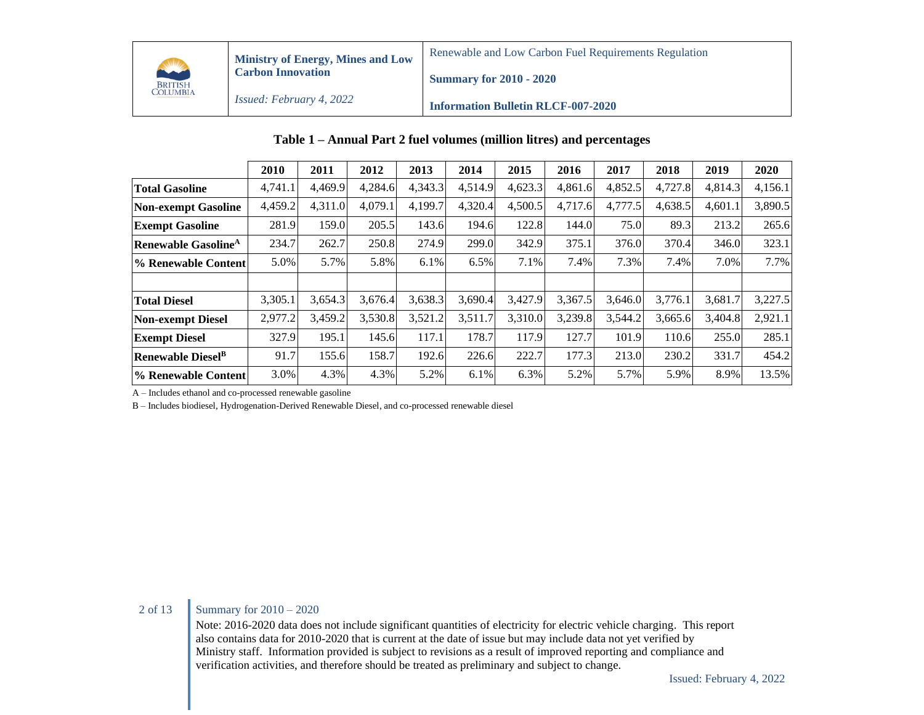

Renewable and Low Carbon Fuel Requirements Regulation

*Issued: February 4, 2022* **Summary for 2010 - 2020**

**Information Bulletin RLCF-007-2020**

|                                        | 2010    | 2011    | 2012    | 2013    | 2014    | 2015    | 2016    | 2017    | 2018    | 2019    | 2020    |
|----------------------------------------|---------|---------|---------|---------|---------|---------|---------|---------|---------|---------|---------|
| <b>Total Gasoline</b>                  | 4,741.1 | 4.469.9 | 4,284.6 | 4,343.3 | 4,514.9 | 4,623.3 | 4.861.6 | 4,852.5 | 4,727.8 | 4,814.3 | 4,156.1 |
| <b>Non-exempt Gasoline</b>             | 4,459.2 | 4,311.0 | 4,079.1 | 4,199.7 | 4,320.4 | 4,500.5 | 4,717.6 | 4,777.5 | 4,638.5 | 4,601.1 | 3,890.5 |
| <b>Exempt Gasoline</b>                 | 281.9   | 159.0   | 205.5   | 143.6   | 194.6   | 122.8   | 144.0   | 75.0    | 89.3    | 213.2   | 265.6   |
| <b>Renewable Gasoline</b> <sup>A</sup> | 234.7   | 262.7   | 250.8   | 274.9   | 299.0   | 342.9   | 375.1   | 376.0   | 370.4   | 346.0   | 323.1   |
| % Renewable Content                    | 5.0%    | 5.7%    | 5.8%    | 6.1%    | 6.5%    | 7.1%    | 7.4%    | 7.3%    | 7.4%    | 7.0%    | 7.7%    |
|                                        |         |         |         |         |         |         |         |         |         |         |         |
| <b>Total Diesel</b>                    | 3,305.1 | 3,654.3 | 3,676.4 | 3,638.3 | 3,690.4 | 3,427.9 | 3,367.5 | 3,646.0 | 3,776.1 | 3,681.7 | 3,227.5 |
| <b>Non-exempt Diesel</b>               | 2,977.2 | 3,459.2 | 3,530.8 | 3,521.2 | 3,511.7 | 3,310.0 | 3,239.8 | 3,544.2 | 3,665.6 | 3,404.8 | 2,921.1 |
| <b>Exempt Diesel</b>                   | 327.9   | 195.1   | 145.6   | 117.1   | 178.7   | 117.9   | 127.7   | 101.9   | 110.6   | 255.0   | 285.1   |
| <b>Renewable Diesel</b> <sup>B</sup>   | 91.7    | 155.6   | 158.7   | 192.6   | 226.6   | 222.7   | 177.3   | 213.0   | 230.2   | 331.7   | 454.2   |
| <sup>1</sup> % Renewable Content       | 3.0%    | 4.3%    | 4.3%    | 5.2%    | 6.1%    | 6.3%    | 5.2%    | 5.7%    | 5.9%    | 8.9%    | 13.5%   |

### **Table 1 – Annual Part 2 fuel volumes (million litres) and percentages**

A – Includes ethanol and co-processed renewable gasoline

B – Includes biodiesel, Hydrogenation-Derived Renewable Diesel, and co-processed renewable diesel

## 2 of 13 Summary for  $2010 - 2020$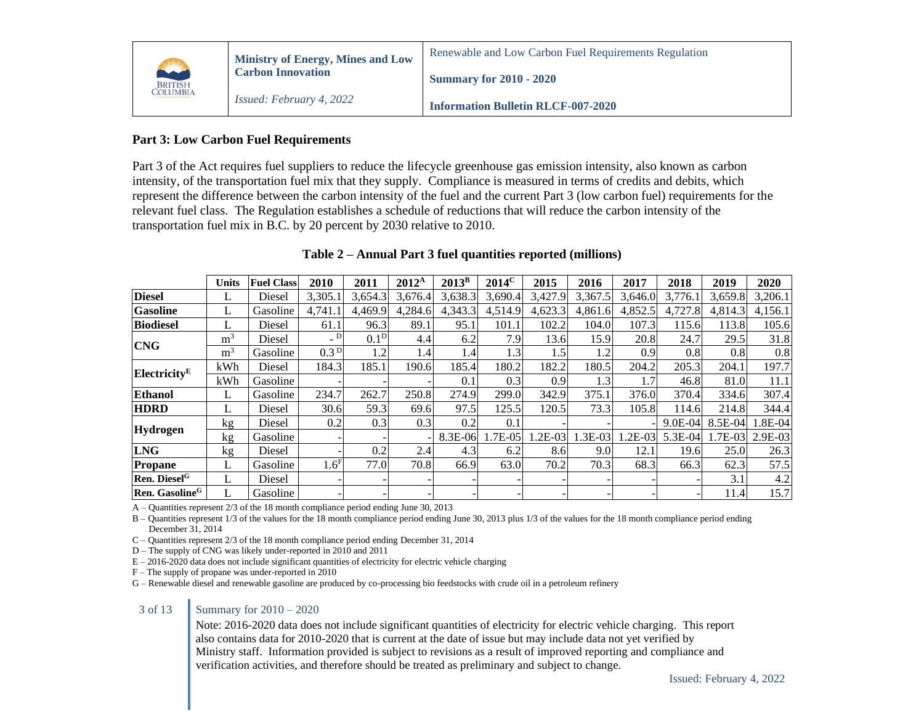

### **Part 3: Low Carbon Fuel Requirements**

Part 3 of the Act requires fuel suppliers to reduce the lifecycle greenhouse gas emission intensity, also known as carbon intensity, of the transportation fuel mix that they supply. Compliance is measured in terms of credits and debits, which represent the difference between the carbon intensity of the fuel and the current Part 3 (low carbon fuel) requirements for the relevant fuel class. The Regulation establishes a schedule of reductions that will reduce the carbon intensity of the transportation fuel mix in B.C. by 20 percent by 2030 relative to 2010.

|                            | Units          | <b>Fuel Class</b> | 2010                     | 2011             | $2012^{\rm A}$ | $2013^B$ | $2014^{\circ}$ | 2015     | 2016      | 2017      | 2018        | 2019     | 2020    |
|----------------------------|----------------|-------------------|--------------------------|------------------|----------------|----------|----------------|----------|-----------|-----------|-------------|----------|---------|
| <b>Diesel</b>              | L              | Diesel            | 3,305.1                  | 3,654.3          | 3,676.4        | 3,638.3  | 3,690.4        | 3,427.9  | 3,367.5   | 3.646.0   | 3,776.1     | 3,659.8  | 3,206.1 |
| <b>Gasoline</b>            | L              | Gasoline          | 4.741.1                  | 4.469.9          | 4,284.6        | 4,343.3  | 4,514.9        | 4,623.3  | 4.861.6   | 4,852.5   | 4,727.8     | 4,814.3  | 4,156.1 |
| <b>Biodiesel</b>           | L              | Diesel            | 61.1                     | 96.3             | 89.1           | 95.1     | 101.1          | 102.2    | 104.0     | 107.3     | 115.6       | 113.8    | 105.6   |
| <b>CNG</b>                 | m <sup>3</sup> | Diesel            | $\overline{\phantom{0}}$ | 0.1 <sup>D</sup> | 4.4            | 6.2      | 7.9            | 13.6     | 15.9      | 20.8      | 24.7        | 29.5     | 31.8    |
|                            | m <sup>3</sup> | Gasoline          | 0.3 <sup>D</sup>         | 1.2              | 1.4            | 1.41     | 1.3            | 1.5      | 1.2       | 0.9       | 0.8         | 0.8      | 0.8     |
| Electricity <sup>E</sup>   | kWh            | Diesel            | 184.3                    | 185.1            | 190.6          | 185.4    | 180.2          | 182.2    | 180.5     | 204.2     | 205.3       | 204.1    | 197.7   |
|                            | kWh            | Gasoline          |                          |                  |                | 0.1      | 0.3            | 0.9      | 1.3       | 1.7       | 46.8        | 81.0     | 11.1    |
| <b>Ethanol</b>             | L              | Gasoline          | 234.7                    | 262.7            | 250.8          | 274.9    | 299.0          | 342.9    | 375.1     | 376.0     | 370.4       | 334.6    | 307.4   |
| <b>HDRD</b>                | L              | Diesel            | 30.6                     | 59.3             | 69.6           | 97.5     | 125.5          | 120.5    | 73.3      | 105.8     | 114.6       | 214.8    | 344.4   |
|                            | kg             | Diesel            | 0.2                      | 0.3              | 0.3            | 0.2      | 0.1            |          |           |           | $9.0E - 04$ | 8.5E-04  | 1.8E-04 |
| <b>Hydrogen</b>            | kg             | Gasoline          |                          |                  |                | 8.3E-06  | 1.7E-05        | $.2E-03$ | $1.3E-03$ | $1.2E-03$ | 5.3E-04     | $.7E-03$ | 2.9E-03 |
| <b>LNG</b>                 | kg             | Diesel            |                          | 0.2              | 2.4            | 4.3      | 6.2            | 8.6      | 9.0       | 12.1      | 19.6        | 25.0     | 26.3    |
| <b>Propane</b>             | L              | Gasoline          | 1.6 <sup>F</sup>         | 77.0             | 70.8           | 66.9     | 63.0           | 70.2     | 70.3      | 68.3      | 66.3        | 62.3     | 57.5    |
| Ren. Diesel <sup>G</sup>   | L              | Diesel            |                          |                  |                |          |                |          |           |           |             | 3.1      | 4.2     |
| Ren. Gasoline <sup>G</sup> |                | Gasoline          |                          |                  |                |          |                |          |           |           |             | 11.4     | 15.7    |

### **Table 2 – Annual Part 3 fuel quantities reported (millions)**

A – Quantities represent 2/3 of the 18 month compliance period ending June 30, 2013

B – Quantities represent 1/3 of the values for the 18 month compliance period ending June 30, 2013 plus 1/3 of the values for the 18 month compliance period ending December 31, 2014

C – Quantities represent 2/3 of the 18 month compliance period ending December 31, 2014

D – The supply of CNG was likely under-reported in 2010 and 2011

 $E - 2016-2020$  data does not include significant quantities of electricity for electric vehicle charging

F – The supply of propane was under-reported in 2010

G – Renewable diesel and renewable gasoline are produced by co-processing bio feedstocks with crude oil in a petroleum refinery

### 3 of 13 Summary for 2010 – 2020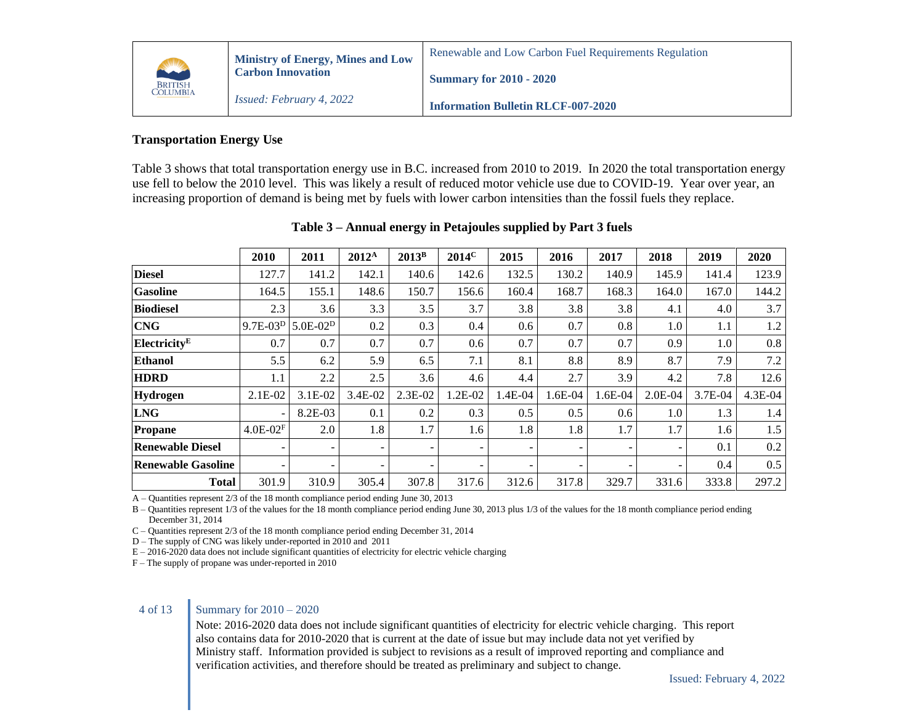

### **Information Bulletin RLCF-007-2020**

# **Transportation Energy Use**

Table 3 shows that total transportation energy use in B.C. increased from 2010 to 2019. In 2020 the total transportation energy use fell to below the 2010 level. This was likely a result of reduced motor vehicle use due to COVID-19. Year over year, an increasing proportion of demand is being met by fuels with lower carbon intensities than the fossil fuels they replace.

|                           | 2010                     | 2011       | $2012^A$                 | $2013^{\rm B}$           | $2014^{\circ}$           | 2015                     | 2016                     | 2017    | 2018                     | 2019    | 2020    |
|---------------------------|--------------------------|------------|--------------------------|--------------------------|--------------------------|--------------------------|--------------------------|---------|--------------------------|---------|---------|
| <b>Diesel</b>             | 127.7                    | 141.2      | 142.1                    | 140.6                    | 142.6                    | 132.5                    | 130.2                    | 140.9   | 145.9                    | 141.4   | 123.9   |
| <b>Gasoline</b>           | 164.5                    | 155.1      | 148.6                    | 150.7                    | 156.6                    | 160.4                    | 168.7                    | 168.3   | 164.0                    | 167.0   | 144.2   |
| <b>Biodiesel</b>          | 2.3                      | 3.6        | 3.3                      | 3.5                      | 3.7                      | 3.8                      | 3.8                      | 3.8     | 4.1                      | 4.0     | 3.7     |
| <b>CNG</b>                | $9.7E-03D$               | $5.0E-02D$ | 0.2                      | 0.3                      | 0.4                      | 0.6                      | 0.7                      | 0.8     | 1.0                      | 1.1     | 1.2     |
| Electricity <sup>E</sup>  | 0.7                      | 0.7        | 0.7                      | 0.7                      | 0.6                      | 0.7                      | 0.7                      | 0.7     | 0.9                      | 1.0     | 0.8     |
| <b>Ethanol</b>            | 5.5                      | 6.2        | 5.9                      | 6.5                      | 7.1                      | 8.1                      | 8.8                      | 8.9     | 8.7                      | 7.9     | 7.2     |
| <b>HDRD</b>               | 1.1                      | 2.2        | 2.5                      | 3.6                      | 4.6                      | 4.4                      | 2.7                      | 3.9     | 4.2                      | 7.8     | 12.6    |
| Hydrogen                  | $2.1E-02$                | $3.1E-02$  | 3.4E-02                  | 2.3E-02                  | 1.2E-02                  | 1.4E-04                  | 1.6E-04                  | 1.6E-04 | $2.0E-04$                | 3.7E-04 | 4.3E-04 |
| <b>LNG</b>                | $\overline{\phantom{0}}$ | 8.2E-03    | 0.1                      | 0.2                      | 0.3                      | 0.5                      | 0.5                      | 0.6     | 1.0                      | 1.3     | 1.4     |
| Propane                   | $4.0E - 02F$             | 2.0        | 1.8                      | 1.7                      | 1.6                      | 1.8                      | 1.8                      | 1.7     | 1.7                      | 1.6     | 1.5     |
| <b>Renewable Diesel</b>   | $\overline{\phantom{0}}$ | ۰          | $\overline{\phantom{a}}$ | ۰.                       | $\overline{\phantom{0}}$ | $\overline{\phantom{a}}$ | $\overline{\phantom{a}}$ | -       | $\overline{\phantom{a}}$ | 0.1     | 0.2     |
| <b>Renewable Gasoline</b> |                          | ۰.         | $\overline{\phantom{a}}$ | $\overline{\phantom{0}}$ | -                        | $\overline{\phantom{a}}$ | -                        | -       | $\overline{\phantom{a}}$ | 0.4     | 0.5     |
| <b>Total</b>              | 301.9                    | 310.9      | 305.4                    | 307.8                    | 317.6                    | 312.6                    | 317.8                    | 329.7   | 331.6                    | 333.8   | 297.2   |

### **Table 3 – Annual energy in Petajoules supplied by Part 3 fuels**

A – Quantities represent 2/3 of the 18 month compliance period ending June 30, 2013

B – Quantities represent 1/3 of the values for the 18 month compliance period ending June 30, 2013 plus 1/3 of the values for the 18 month compliance period ending December 31, 2014

C – Quantities represent 2/3 of the 18 month compliance period ending December 31, 2014

D – The supply of CNG was likely under-reported in 2010 and 2011

E – 2016-2020 data does not include significant quantities of electricity for electric vehicle charging

F – The supply of propane was under-reported in 2010

### 4 of 13 Summary for 2010 – 2020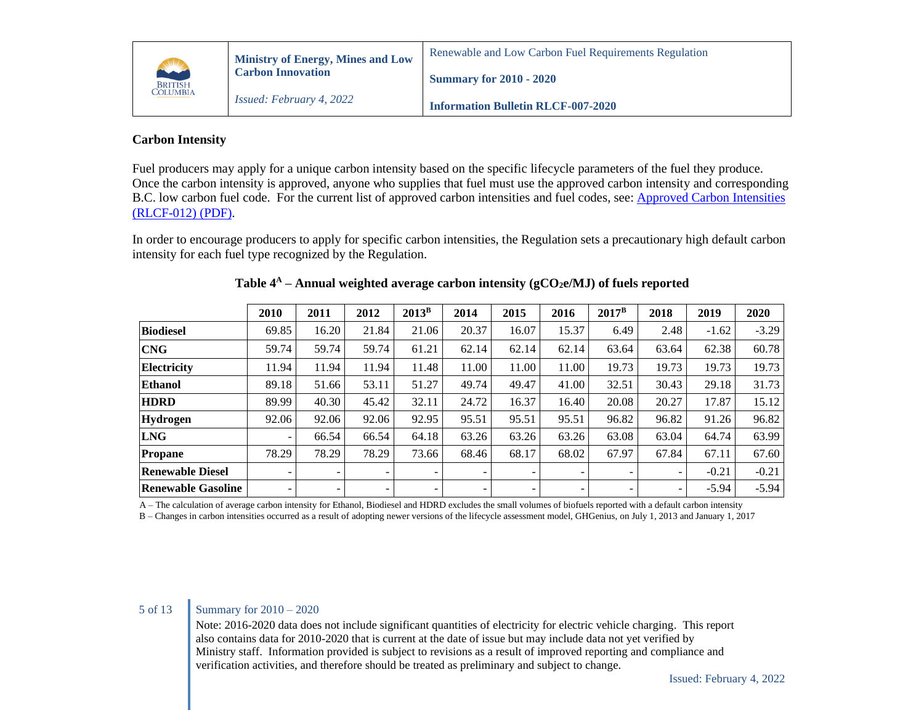

# **Information Bulletin RLCF-007-2020**

# **Carbon Intensity**

Fuel producers may apply for a unique carbon intensity based on the specific lifecycle parameters of the fuel they produce. Once the carbon intensity is approved, anyone who supplies that fuel must use the approved carbon intensity and corresponding B.C. low carbon fuel code. For the current list of approved carbon intensities and fuel codes, see: [Approved Carbon Intensities](https://www2.gov.bc.ca/assets/gov/farming-natural-resources-and-industry/electricity-alternative-energy/transportation/renewable-low-carbon-fuels/rlcf012_-_approved_carbon_intensities.pdf)  [\(RLCF-012\) \(PDF\).](https://www2.gov.bc.ca/assets/gov/farming-natural-resources-and-industry/electricity-alternative-energy/transportation/renewable-low-carbon-fuels/rlcf012_-_approved_carbon_intensities.pdf)

In order to encourage producers to apply for specific carbon intensities, the Regulation sets a precautionary high default carbon intensity for each fuel type recognized by the Regulation.

|                           | 2010                     | 2011  | 2012                     | $2013^B$                 | 2014                     | 2015                     | 2016  | $2017^{\rm B}$ | 2018                     | 2019    | 2020    |
|---------------------------|--------------------------|-------|--------------------------|--------------------------|--------------------------|--------------------------|-------|----------------|--------------------------|---------|---------|
| <b>Biodiesel</b>          | 69.85                    | 16.20 | 21.84                    | 21.06                    | 20.37                    | 16.07                    | 15.37 | 6.49           | 2.48                     | $-1.62$ | $-3.29$ |
| <b>CNG</b>                | 59.74                    | 59.74 | 59.74                    | 61.21                    | 62.14                    | 62.14                    | 62.14 | 63.64          | 63.64                    | 62.38   | 60.78   |
| <b>Electricity</b>        | 11.94                    | 11.94 | 11.94                    | 11.48                    | 11.00                    | 11.00                    | 11.00 | 19.73          | 19.73                    | 19.73   | 19.73   |
| <b>Ethanol</b>            | 89.18                    | 51.66 | 53.11                    | 51.27                    | 49.74                    | 49.47                    | 41.00 | 32.51          | 30.43                    | 29.18   | 31.73   |
| <b>HDRD</b>               | 89.99                    | 40.30 | 45.42                    | 32.11                    | 24.72                    | 16.37                    | 16.40 | 20.08          | 20.27                    | 17.87   | 15.12   |
| <b>Hydrogen</b>           | 92.06                    | 92.06 | 92.06                    | 92.95                    | 95.51                    | 95.51                    | 95.51 | 96.82          | 96.82                    | 91.26   | 96.82   |
| <b>LNG</b>                | $\overline{\phantom{a}}$ | 66.54 | 66.54                    | 64.18                    | 63.26                    | 63.26                    | 63.26 | 63.08          | 63.04                    | 64.74   | 63.99   |
| Propane                   | 78.29                    | 78.29 | 78.29                    | 73.66                    | 68.46                    | 68.17                    | 68.02 | 67.97          | 67.84                    | 67.11   | 67.60   |
| <b>Renewable Diesel</b>   | -                        |       | $\overline{\phantom{0}}$ | $\overline{\phantom{a}}$ | -                        |                          |       |                | $\overline{\phantom{a}}$ | $-0.21$ | $-0.21$ |
| <b>Renewable Gasoline</b> | ۰                        | ۰     | $\sim$                   | -                        | $\overline{\phantom{a}}$ | $\overline{\phantom{0}}$ | ۰.    |                | $\sim$                   | $-5.94$ | $-5.94$ |

# **Table 4 <sup>A</sup> – Annual weighted average carbon intensity (gCO2e/MJ) of fuels reported**

A – The calculation of average carbon intensity for Ethanol, Biodiesel and HDRD excludes the small volumes of biofuels reported with a default carbon intensity

B – Changes in carbon intensities occurred as a result of adopting newer versions of the lifecycle assessment model, GHGenius, on July 1, 2013 and January 1, 2017

# 5 of 13 **Summary for 2010** – 2020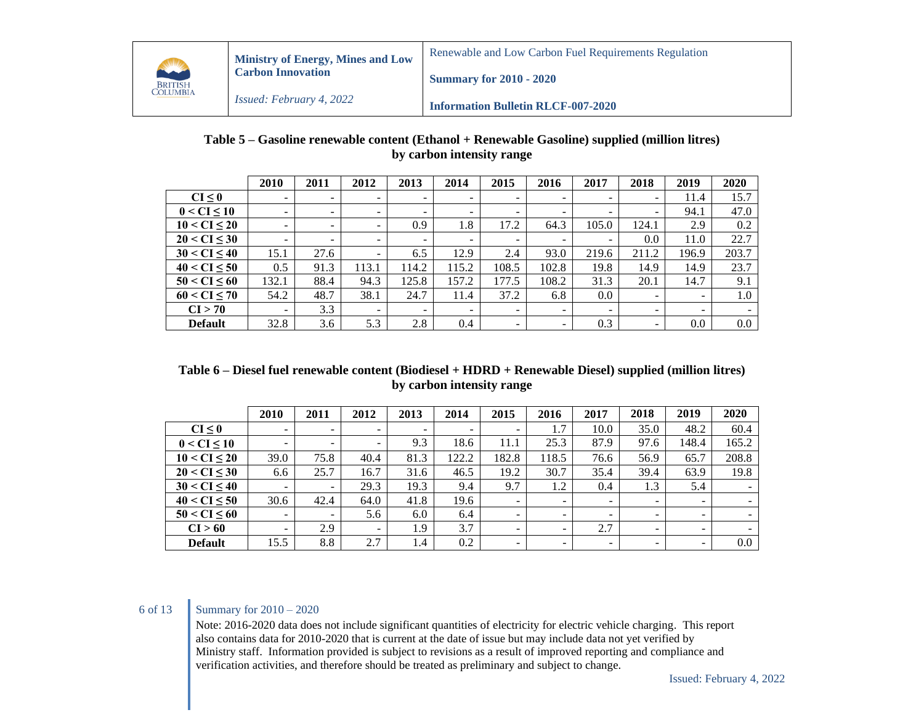

# **Table 5 – Gasoline renewable content (Ethanol + Renewable Gasoline) supplied (million litres) by carbon intensity range**

|                     | 2010                     | 2011                     | 2012                     | 2013                     | 2014                     | 2015                     | 2016                     | 2017                     | 2018                     | 2019                     | 2020  |
|---------------------|--------------------------|--------------------------|--------------------------|--------------------------|--------------------------|--------------------------|--------------------------|--------------------------|--------------------------|--------------------------|-------|
| CI < 0              | ۰.                       | $\overline{\phantom{0}}$ | ۰                        | -                        | $\overline{\phantom{0}}$ | ٠                        | $\sim$                   | -                        | -                        | 11.4                     | 15.7  |
| $0 < C$ I $\leq 10$ | $\overline{\phantom{a}}$ | $\overline{\phantom{a}}$ | $\overline{\phantom{0}}$ | $\overline{\phantom{a}}$ | $\overline{\phantom{a}}$ | $\overline{\phantom{0}}$ | $\overline{\phantom{0}}$ | $\overline{\phantom{a}}$ | $\overline{\phantom{0}}$ | 94.1                     | 47.0  |
| $10 < CI \leq 20$   | $\overline{\phantom{0}}$ | $\overline{\phantom{a}}$ | -                        | 0.9                      | 1.8                      | 17.2                     | 64.3                     | 105.0                    | 124.1                    | 2.9                      | 0.2   |
| 20 < CI < 30        | $\overline{\phantom{0}}$ | $\overline{\phantom{a}}$ | ٠                        | ۰.                       | -                        | ٠.                       | $\sim$                   | -                        | 0.0                      | 11.0                     | 22.7  |
| 30 < CI < 40        | 15.1                     | 27.6                     | -                        | 6.5                      | 12.9                     | 2.4                      | 93.0                     | 219.6                    | 211.2                    | 196.9                    | 203.7 |
| 40 < CI < 50        | 0.5                      | 91.3                     | 113.1                    | 114.2                    | 115.2                    | 108.5                    | 102.8                    | 19.8                     | 14.9                     | 14.9                     | 23.7  |
| 50 < CI < 60        | 132.1                    | 88.4                     | 94.3                     | 125.8                    | 157.2                    | 177.5                    | 108.2                    | 31.3                     | 20.1                     | 14.7                     | 9.1   |
| 60 < CI < 70        | 54.2                     | 48.7                     | 38.1                     | 24.7                     | 11.4                     | 37.2                     | 6.8                      | $0.0\,$                  | $\sim$                   | $\overline{\phantom{a}}$ | 1.0   |
| CI > 70             | $\overline{\phantom{a}}$ | 3.3                      | ٠                        |                          | $\overline{\phantom{0}}$ | $\overline{\phantom{a}}$ | $\sim$                   | -                        | $\overline{\phantom{0}}$ | $\overline{\phantom{a}}$ |       |
| <b>Default</b>      | 32.8                     | 3.6                      | 5.3                      | 2.8                      | 0.4                      | ۰.                       | $\sim$                   | 0.3                      | ۰.                       | 0.0                      | 0.0   |

## **Table 6 – Diesel fuel renewable content (Biodiesel + HDRD + Renewable Diesel) supplied (million litres) by carbon intensity range**

|                   | 2010                     | 2011                     | 2012                     | 2013                     | 2014                     | 2015                     | 2016                     | 2017                     | 2018                     | 2019                     | 2020    |
|-------------------|--------------------------|--------------------------|--------------------------|--------------------------|--------------------------|--------------------------|--------------------------|--------------------------|--------------------------|--------------------------|---------|
| $CI \leq 0$       | $\sim$                   | $\overline{\phantom{0}}$ | ۰.                       | $\overline{\phantom{0}}$ | $\overline{\phantom{a}}$ | $\overline{\phantom{a}}$ | 1.7                      | 10.0                     | 35.0                     | 48.2                     | 60.4    |
| $0 < CI \leq 10$  | $\overline{\phantom{a}}$ | $\overline{\phantom{a}}$ | $\overline{\phantom{a}}$ | 9.3                      | 18.6                     | 11.1                     | 25.3                     | 87.9                     | 97.6                     | 148.4                    | 165.2   |
| $10 < CI \leq 20$ | 39.0                     | 75.8                     | 40.4                     | 81.3                     | 122.2                    | 182.8                    | 118.5                    | 76.6                     | 56.9                     | 65.7                     | 208.8   |
| $20 < CI \leq 30$ | 6.6                      | 25.7                     | 16.7                     | 31.6                     | 46.5                     | 19.2                     | 30.7                     | 35.4                     | 39.4                     | 63.9                     | 19.8    |
| $30 < CI \leq 40$ | $\overline{\phantom{0}}$ | $\overline{\phantom{a}}$ | 29.3                     | 19.3                     | 9.4                      | 9.7                      | 1.2                      | 0.4                      | 1.3                      | 5.4                      |         |
| 40 < CI < 50      | 30.6                     | 42.4                     | 64.0                     | 41.8                     | 19.6                     | $\sim$                   | $\overline{\phantom{0}}$ | $\overline{\phantom{a}}$ | $\overline{\phantom{a}}$ |                          |         |
| $50 < CI \leq 60$ | $\overline{\phantom{0}}$ | $\overline{\phantom{a}}$ | 5.6                      | 6.0                      | 6.4                      | ۰.                       | $\overline{\phantom{0}}$ | $\overline{\phantom{a}}$ | $\overline{\phantom{0}}$ |                          |         |
| CI > 60           | ۰.                       | 2.9                      | -                        | 1.9                      | 3.7                      | ۰.                       | -                        | 2.7                      | $\overline{\phantom{0}}$ | $\overline{\phantom{0}}$ |         |
| <b>Default</b>    | 15.5                     | 8.8                      | 2.7                      | 1.4                      | 0.2                      | ۰.                       | ۰.                       | $\overline{\phantom{a}}$ | $\overline{\phantom{0}}$ | -                        | $0.0\,$ |

# 6 of 13 Summary for 2010 – 2020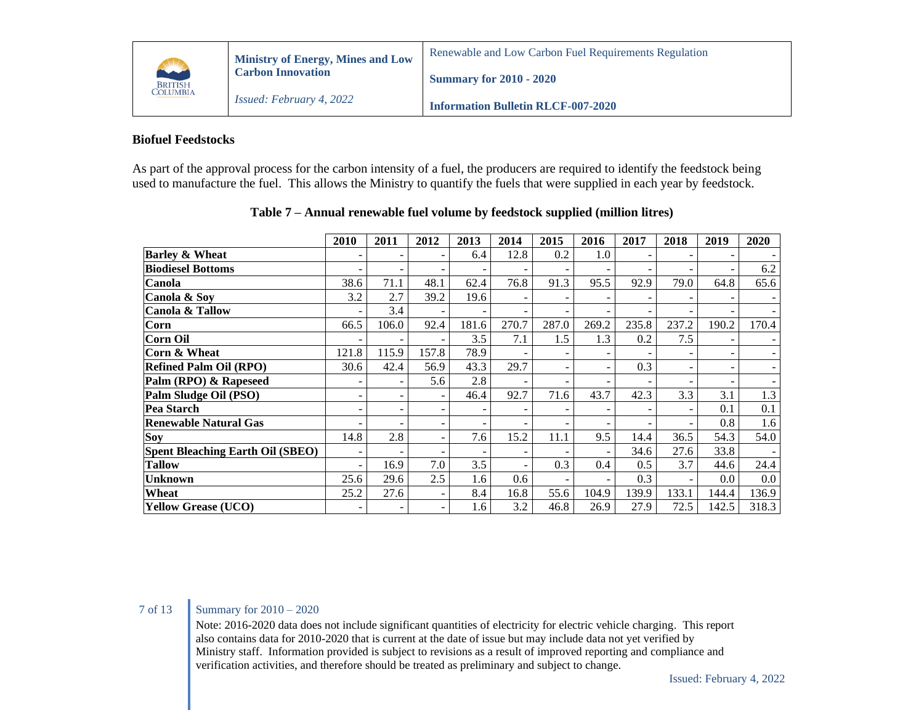

**Summary for 2010 - 2020**

### **Biofuel Feedstocks**

As part of the approval process for the carbon intensity of a fuel, the producers are required to identify the feedstock being used to manufacture the fuel. This allows the Ministry to quantify the fuels that were supplied in each year by feedstock.

|                                         | 2010                     | 2011                     | 2012  | 2013                     | 2014  | 2015  | 2016  | 2017  | 2018                     | 2019  | 2020  |
|-----------------------------------------|--------------------------|--------------------------|-------|--------------------------|-------|-------|-------|-------|--------------------------|-------|-------|
| <b>Barley &amp; Wheat</b>               |                          |                          |       | 6.4                      | 12.8  | 0.2   | 1.0   |       |                          |       |       |
| <b>Biodiesel Bottoms</b>                |                          | -                        |       |                          |       |       |       |       |                          |       | 6.2   |
| Canola                                  | 38.6                     | 71.1                     | 48.1  | 62.4                     | 76.8  | 91.3  | 95.5  | 92.9  | 79.0                     | 64.8  | 65.6  |
| Canola & Soy                            | 3.2                      | 2.7                      | 39.2  | 19.6                     |       |       |       |       |                          |       |       |
| Canola & Tallow                         |                          | 3.4                      |       |                          |       |       |       |       |                          |       |       |
| Corn                                    | 66.5                     | 106.0                    | 92.4  | 181.6                    | 270.7 | 287.0 | 269.2 | 235.8 | 237.2                    | 190.2 | 170.4 |
| Corn Oil                                |                          | ۰                        |       | 3.5                      | 7.1   | 1.5   | 1.3   | 0.2   | 7.5                      |       |       |
| Corn & Wheat                            | 121.8                    | 115.9                    | 157.8 | 78.9                     |       |       |       |       |                          |       |       |
| <b>Refined Palm Oil (RPO)</b>           | 30.6                     | 42.4                     | 56.9  | 43.3                     | 29.7  |       |       | 0.3   | $\overline{\phantom{a}}$ |       |       |
| Palm (RPO) & Rapeseed                   |                          | ۰                        | 5.6   | 2.8                      |       |       |       |       |                          |       |       |
| Palm Sludge Oil (PSO)                   |                          | -                        |       | 46.4                     | 92.7  | 71.6  | 43.7  | 42.3  | 3.3                      | 3.1   | 1.3   |
| Pea Starch                              |                          | $\overline{\phantom{a}}$ |       | $\overline{\phantom{0}}$ |       |       |       |       | $\overline{\phantom{a}}$ | 0.1   | 0.1   |
| <b>Renewable Natural Gas</b>            |                          |                          |       | $\overline{\phantom{0}}$ |       |       |       |       | ۰                        | 0.8   | 1.6   |
| Soy                                     | 14.8                     | 2.8                      |       | 7.6                      | 15.2  | 11.1  | 9.5   | 14.4  | 36.5                     | 54.3  | 54.0  |
| <b>Spent Bleaching Earth Oil (SBEO)</b> | $\overline{\phantom{0}}$ | -                        | -     | $\overline{\phantom{0}}$ | -     |       | -     | 34.6  | 27.6                     | 33.8  |       |
| <b>Tallow</b>                           | $\overline{\phantom{a}}$ | 16.9                     | 7.0   | 3.5                      |       | 0.3   | 0.4   | 0.5   | 3.7                      | 44.6  | 24.4  |
| <b>Unknown</b>                          | 25.6                     | 29.6                     | 2.5   | 1.6                      | 0.6   |       |       | 0.3   | $\overline{\phantom{a}}$ | 0.0   | 0.0   |
| Wheat                                   | 25.2                     | 27.6                     |       | 8.4                      | 16.8  | 55.6  | 104.9 | 139.9 | 133.1                    | 144.4 | 136.9 |
| <b>Yellow Grease (UCO)</b>              |                          |                          |       | 1.6                      | 3.2   | 46.8  | 26.9  | 27.9  | 72.5                     | 142.5 | 318.3 |

### **Table 7 – Annual renewable fuel volume by feedstock supplied (million litres)**

## 7 of 13 Summary for 2010 – 2020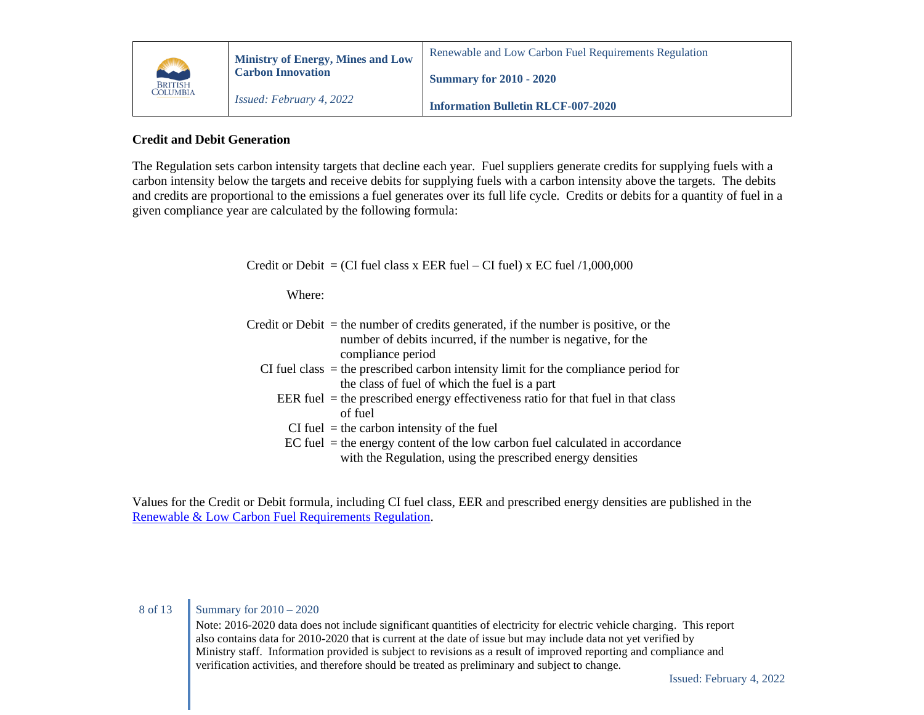

## **Credit and Debit Generation**

The Regulation sets carbon intensity targets that decline each year. Fuel suppliers generate credits for supplying fuels with a carbon intensity below the targets and receive debits for supplying fuels with a carbon intensity above the targets. The debits and credits are proportional to the emissions a fuel generates over its full life cycle. Credits or debits for a quantity of fuel in a given compliance year are calculated by the following formula:

| Credit or Debit = (CI fuel class x EER fuel – CI fuel) x EC fuel $/1,000,000$                                                                                                |
|------------------------------------------------------------------------------------------------------------------------------------------------------------------------------|
| Where:                                                                                                                                                                       |
| Credit or Debit $=$ the number of credits generated, if the number is positive, or the<br>number of debits incurred, if the number is negative, for the<br>compliance period |
| CI fuel class $=$ the prescribed carbon intensity limit for the compliance period for<br>the class of fuel of which the fuel is a part                                       |
| EER fuel $=$ the prescribed energy effectiveness ratio for that fuel in that class<br>of fuel                                                                                |
| $CI$ fuel = the carbon intensity of the fuel                                                                                                                                 |
| $EC$ fuel $=$ the energy content of the low carbon fuel calculated in accordance<br>with the Regulation, using the prescribed energy densities                               |

Values for the Credit or Debit formula, including CI fuel class, EER and prescribed energy densities are published in the [Renewable & Low Carbon Fuel Requirements Regulation.](https://www.bclaws.gov.bc.ca/civix/document/id/complete/statreg/394_2008)

# 8 of 13 Summary for 2010 – 2020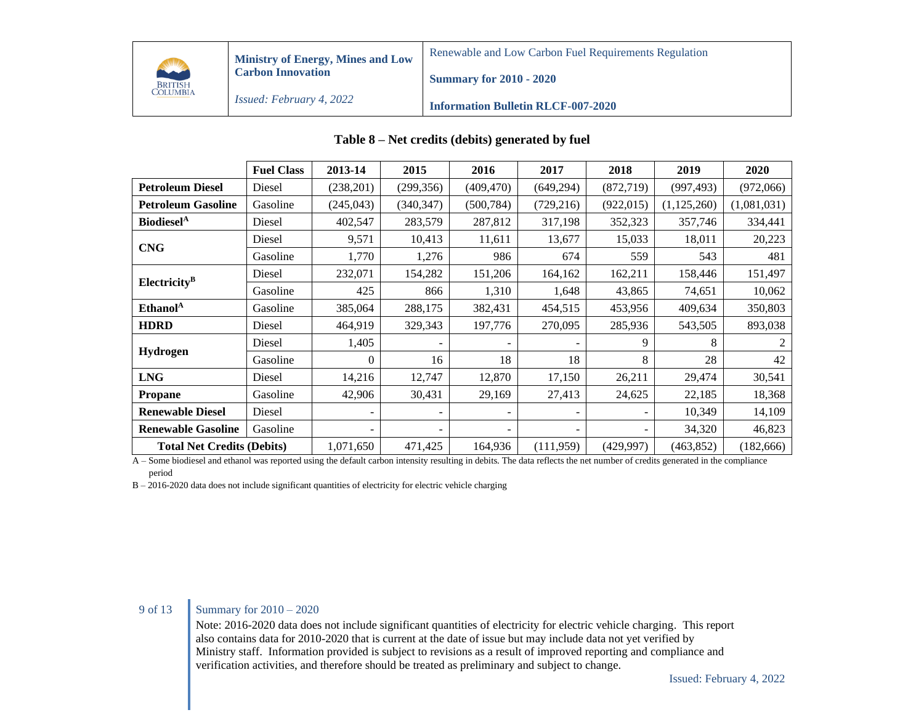

**Ministry of Energy, Mines and Low Carbon Innovation**

Renewable and Low Carbon Fuel Requirements Regulation

**Summary for 2010 - 2020**

*Issued: February 4, 2022*

**Information Bulletin RLCF-007-2020**

|                                   | <b>Fuel Class</b> | 2013-14   | 2015       | 2016                     | 2017                     | 2018       | 2019        | 2020        |
|-----------------------------------|-------------------|-----------|------------|--------------------------|--------------------------|------------|-------------|-------------|
| <b>Petroleum Diesel</b>           | Diesel            | (238,201) | (299, 356) | (409, 470)               | (649, 294)               | (872, 719) | (997, 493)  | (972,066)   |
| <b>Petroleum Gasoline</b>         | Gasoline          | (245,043) | (340, 347) | (500, 784)               | (729, 216)               | (922, 015) | (1,125,260) | (1,081,031) |
| Biodiesel <sup>A</sup>            | Diesel            | 402,547   | 283,579    | 287,812                  | 317,198                  | 352,323    | 357,746     | 334,441     |
|                                   | Diesel            | 9,571     | 10,413     | 11,611                   | 13,677                   | 15,033     | 18,011      | 20,223      |
| <b>CNG</b>                        | Gasoline          | 1,770     | 1,276      | 986                      | 674                      | 559        | 543         | 481         |
|                                   | Diesel            | 232,071   | 154,282    | 151,206                  | 164,162                  | 162,211    | 158,446     | 151,497     |
| Electricity <sup>B</sup>          | Gasoline          | 425       | 866        | 1,310                    | 1,648                    | 43,865     | 74,651      | 10,062      |
| Ethanol <sup>A</sup>              | Gasoline          | 385,064   | 288,175    | 382,431                  | 454,515                  | 453,956    | 409,634     | 350,803     |
| <b>HDRD</b>                       | Diesel            | 464,919   | 329,343    | 197,776                  | 270,095                  | 285,936    | 543,505     | 893,038     |
|                                   | Diesel            | 1,405     |            |                          |                          | 9          | 8           |             |
| <b>Hydrogen</b>                   | Gasoline          | 0         | 16         | 18                       | 18                       | 8          | 28          | 42          |
| <b>LNG</b>                        | Diesel            | 14,216    | 12,747     | 12,870                   | 17,150                   | 26,211     | 29,474      | 30,541      |
| <b>Propane</b>                    | Gasoline          | 42,906    | 30,431     | 29,169                   | 27,413                   | 24,625     | 22,185      | 18,368      |
| <b>Renewable Diesel</b>           | Diesel            |           |            |                          | $\overline{\phantom{a}}$ |            | 10,349      | 14,109      |
| <b>Renewable Gasoline</b>         | Gasoline          |           |            | $\overline{\phantom{a}}$ | $\overline{\phantom{a}}$ |            | 34,320      | 46,823      |
| <b>Total Net Credits (Debits)</b> |                   | 1,071,650 | 471,425    | 164,936                  | (111, 959)               | (429, 997) | (463, 852)  | (182, 666)  |

### **Table 8 – Net credits (debits) generated by fuel**

A – Some biodiesel and ethanol was reported using the default carbon intensity resulting in debits. The data reflects the net number of credits generated in the compliance period

B – 2016-2020 data does not include significant quantities of electricity for electric vehicle charging

# 9 of 13 Summary for 2010 – 2020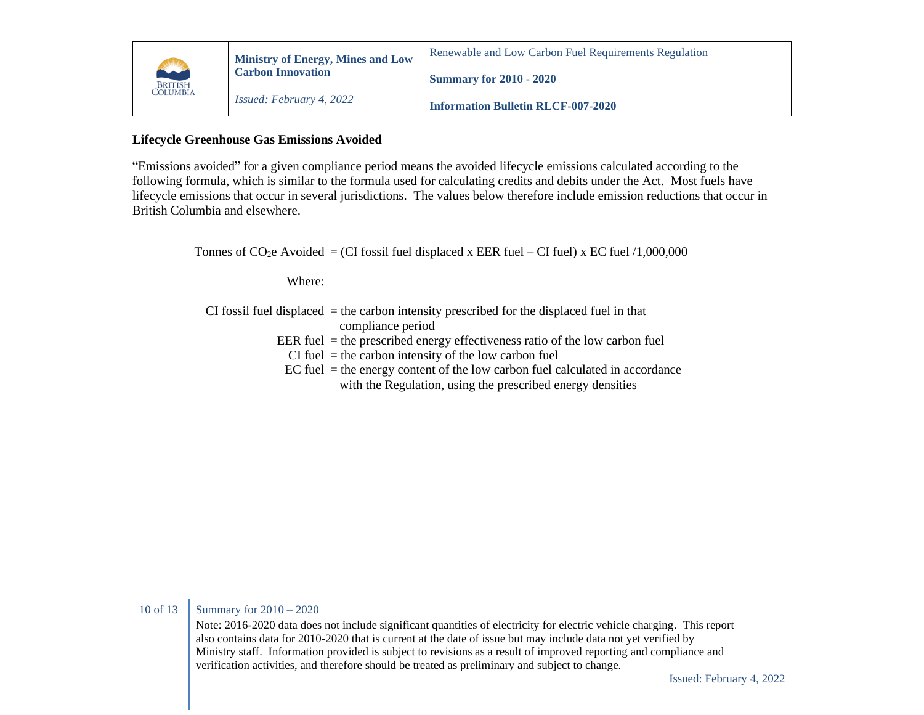

# **Lifecycle Greenhouse Gas Emissions Avoided**

"Emissions avoided" for a given compliance period means the avoided lifecycle emissions calculated according to the following formula, which is similar to the formula used for calculating credits and debits under the Act. Most fuels have lifecycle emissions that occur in several jurisdictions. The values below therefore include emission reductions that occur in British Columbia and elsewhere.

Tonnes of  $CO<sub>2</sub>e$  Avoided = (CI fossil fuel displaced x EER fuel – CI fuel) x EC fuel /1,000,000

Where:

- CI fossil fuel displaced = the carbon intensity prescribed for the displaced fuel in that compliance period
	- EER fuel  $=$  the prescribed energy effectiveness ratio of the low carbon fuel
		- $CI$  fuel  $=$  the carbon intensity of the low carbon fuel
	- $EC$  fuel  $=$  the energy content of the low carbon fuel calculated in accordance with the Regulation, using the prescribed energy densities

#### 10 of 13 Summary for  $2010 - 2020$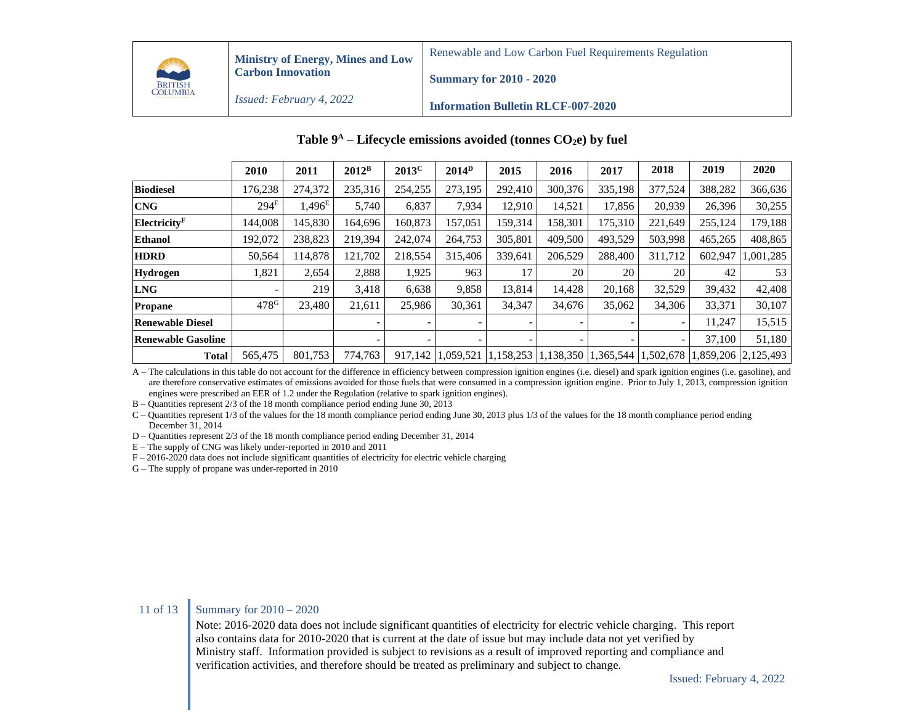

**Ministry of Energy, Mines and Low Carbon Innovation**

Renewable and Low Carbon Fuel Requirements Regulation

**Summary for 2010 - 2020**

*Issued: February 4, 2022*

**Information Bulletin RLCF-007-2020**

|                           | 2010               | 2011            | $2012^B$ | $2013^C$ | $2014^{\mathrm{D}}$ | 2015                     | 2016                     | 2017    | 2018                                                      | 2019    | 2020                |
|---------------------------|--------------------|-----------------|----------|----------|---------------------|--------------------------|--------------------------|---------|-----------------------------------------------------------|---------|---------------------|
| <b>Biodiesel</b>          | 176,238            | 274,372         | 235,316  | 254,255  | 273,195             | 292,410                  | 300,376                  | 335,198 | 377,524                                                   | 388,282 | 366,636             |
| <b>CNG</b>                | 294 <sup>E</sup>   | $1,496^{\rm E}$ | 5,740    | 6,837    | 7,934               | 12,910                   | 14,521                   | 17,856  | 20,939                                                    | 26,396  | 30,255              |
| Electricity <sup>F</sup>  | 144.008            | 145,830         | 164,696  | 160,873  | 157,051             | 159,314                  | 158,301                  | 175,310 | 221,649                                                   | 255,124 | 179,188             |
| <b>Ethanol</b>            | 192,072            | 238,823         | 219,394  | 242,074  | 264,753             | 305,801                  | 409,500                  | 493,529 | 503,998                                                   | 465,265 | 408,865             |
| <b>HDRD</b>               | 50,564             | 14.878          | 121.702  | 218,554  | 315,406             | 339,641                  | 206,529                  | 288,400 | 311,712                                                   | 602.947 | 1,001,285           |
| Hydrogen                  | 1,821              | 2,654           | 2,888    | 1,925    | 963                 | 17                       | 20                       | 20      | 20                                                        | 42      | 53                  |
| <b>LNG</b>                | -                  | 219             | 3,418    | 6,638    | 9,858               | 13,814                   | 14,428                   | 20,168  | 32,529                                                    | 39,432  | 42,408              |
| <b>Propane</b>            | $478$ <sup>G</sup> | 23.480          | 21,611   | 25,986   | 30,361              | 34,347                   | 34,676                   | 35,062  | 34,306                                                    | 33,371  | 30,107              |
| <b>Renewable Diesel</b>   |                    |                 |          |          |                     |                          |                          |         | $\overline{\phantom{a}}$                                  | 11,247  | 15,515              |
| <b>Renewable Gasoline</b> |                    |                 |          |          | -                   | $\overline{\phantom{0}}$ | $\overline{\phantom{0}}$ |         | $\sim$                                                    | 37,100  | 51,180              |
| <b>Total</b>              | 565,475            | 801,753         | 774,763  |          |                     |                          |                          |         | 917,142 1,059,521 1,158,253 1,138,350 1,365,544 1,502,678 |         | 1,859,206 2,125,493 |

### **Table 9 <sup>A</sup> – Lifecycle emissions avoided (tonnes CO2e) by fuel**

A – The calculations in this table do not account for the difference in efficiency between compression ignition engines (i.e. diesel) and spark ignition engines (i.e. gasoline), and are therefore conservative estimates of emissions avoided for those fuels that were consumed in a compression ignition engine. Prior to July 1, 2013, compression ignition engines were prescribed an EER of 1.2 under the Regulation (relative to spark ignition engines).

B – Quantities represent 2/3 of the 18 month compliance period ending June 30, 2013

C – Quantities represent 1/3 of the values for the 18 month compliance period ending June 30, 2013 plus 1/3 of the values for the 18 month compliance period ending December 31, 2014

D – Quantities represent 2/3 of the 18 month compliance period ending December 31, 2014

E – The supply of CNG was likely under-reported in 2010 and 2011

F – 2016-2020 data does not include significant quantities of electricity for electric vehicle charging

G – The supply of propane was under-reported in 2010

#### 11 of 13 Summary for  $2010 - 2020$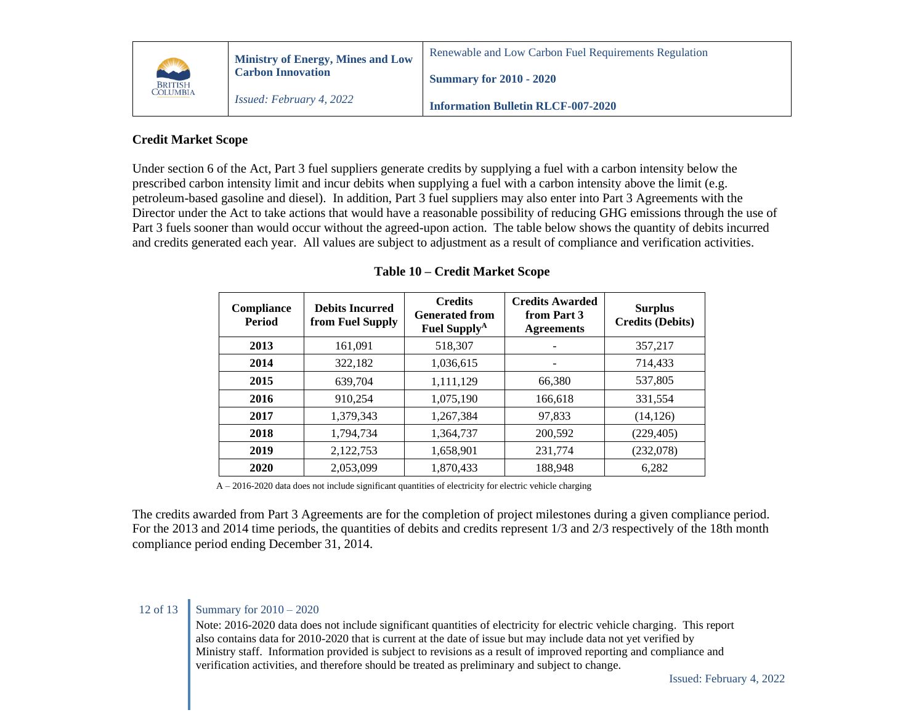

#### **Information Bulletin RLCF-007-2020**

## **Credit Market Scope**

Under section 6 of the Act, Part 3 fuel suppliers generate credits by supplying a fuel with a carbon intensity below the prescribed carbon intensity limit and incur debits when supplying a fuel with a carbon intensity above the limit (e.g. petroleum-based gasoline and diesel). In addition, Part 3 fuel suppliers may also enter into Part 3 Agreements with the Director under the Act to take actions that would have a reasonable possibility of reducing GHG emissions through the use of Part 3 fuels sooner than would occur without the agreed-upon action. The table below shows the quantity of debits incurred and credits generated each year. All values are subject to adjustment as a result of compliance and verification activities.

| <b>Compliance</b><br><b>Period</b> | <b>Debits Incurred</b><br>from Fuel Supply | <b>Credits</b><br><b>Generated from</b><br><b>Fuel Supply</b> <sup>A</sup> | <b>Credits Awarded</b><br>from Part 3<br><b>Agreements</b> | <b>Surplus</b><br><b>Credits (Debits)</b> |
|------------------------------------|--------------------------------------------|----------------------------------------------------------------------------|------------------------------------------------------------|-------------------------------------------|
| 2013                               | 161,091                                    | 518,307                                                                    |                                                            | 357,217                                   |
| 2014                               | 322,182                                    | 1,036,615                                                                  | $\overline{\phantom{0}}$                                   | 714,433                                   |
| 2015                               | 639.704                                    | 1,111,129                                                                  | 66,380                                                     | 537,805                                   |
| 2016                               | 910,254                                    | 1,075,190                                                                  | 166,618                                                    | 331,554                                   |
| 2017                               | 1,379,343                                  | 1,267,384                                                                  | 97,833                                                     | (14, 126)                                 |
| 2018                               | 1,794,734                                  | 1,364,737                                                                  | 200,592                                                    | (229, 405)                                |
| 2019                               | 2,122,753                                  | 1,658,901                                                                  | 231,774                                                    | (232,078)                                 |
| 2020                               | 2,053,099                                  | 1,870,433                                                                  | 188,948                                                    | 6,282                                     |

### **Table 10 – Credit Market Scope**

A – 2016-2020 data does not include significant quantities of electricity for electric vehicle charging

The credits awarded from Part 3 Agreements are for the completion of project milestones during a given compliance period. For the 2013 and 2014 time periods, the quantities of debits and credits represent 1/3 and 2/3 respectively of the 18th month compliance period ending December 31, 2014.

### 12 of 13 Summary for  $2010 - 2020$